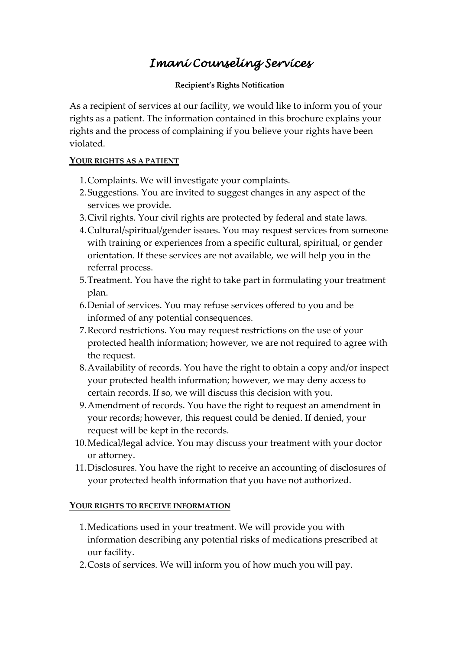# *Imani Counseling Services*

#### **Recipient's Rights Notification**

As a recipient of services at our facility, we would like to inform you of your rights as a patient. The information contained in this brochure explains your rights and the process of complaining if you believe your rights have been violated.

#### **YOUR RIGHTS AS A PATIENT**

- 1.Complaints. We will investigate your complaints.
- 2.Suggestions. You are invited to suggest changes in any aspect of the services we provide.
- 3.Civil rights. Your civil rights are protected by federal and state laws.
- 4.Cultural/spiritual/gender issues. You may request services from someone with training or experiences from a specific cultural, spiritual, or gender orientation. If these services are not available, we will help you in the referral process.
- 5.Treatment. You have the right to take part in formulating your treatment plan.
- 6.Denial of services. You may refuse services offered to you and be informed of any potential consequences.
- 7.Record restrictions. You may request restrictions on the use of your protected health information; however, we are not required to agree with the request.
- 8.Availability of records. You have the right to obtain a copy and/or inspect your protected health information; however, we may deny access to certain records. If so, we will discuss this decision with you.
- 9.Amendment of records. You have the right to request an amendment in your records; however, this request could be denied. If denied, your request will be kept in the records.
- 10.Medical/legal advice. You may discuss your treatment with your doctor or attorney.
- 11.Disclosures. You have the right to receive an accounting of disclosures of your protected health information that you have not authorized.

#### **YOUR RIGHTS TO RECEIVE INFORMATION**

- 1.Medications used in your treatment. We will provide you with information describing any potential risks of medications prescribed at our facility.
- 2.Costs of services. We will inform you of how much you will pay.